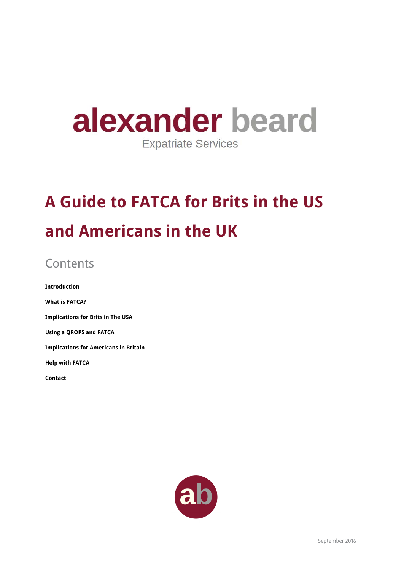# alexander beard **Expatriate Services**

# **A Guide to FATCA for Brits in the US and Americans in the UK**

# **Contents**

**Introduction What is FATCA? Implications for Brits in The USA Using a QROPS and FATCA Implications for Americans in Britain Help with FATCA Contact** 

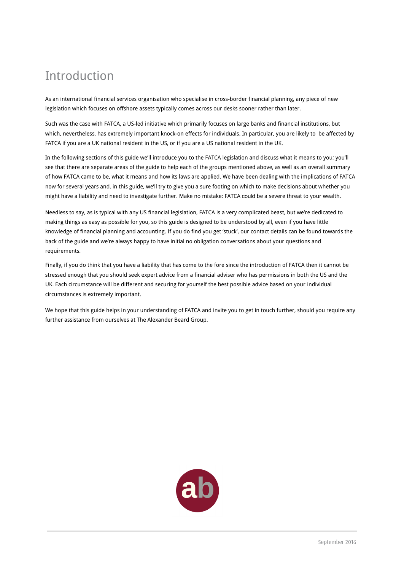### Introduction

As an international financial services organisation who specialise in cross-border financial planning, any piece of new legislation which focuses on offshore assets typically comes across our desks sooner rather than later.

Such was the case with FATCA, a US-led initiative which primarily focuses on large banks and financial institutions, but which, nevertheless, has extremely important knock-on effects for individuals. In particular, you are likely to be affected by FATCA if you are a UK national resident in the US, or if you are a US national resident in the UK.

In the following sections of this guide we'll introduce you to the FATCA legislation and discuss what it means to you; you'll see that there are separate areas of the guide to help each of the groups mentioned above, as well as an overall summary of how FATCA came to be, what it means and how its laws are applied. We have been dealing with the implications of FATCA now for several years and, in this guide, we'll try to give you a sure footing on which to make decisions about whether you might have a liability and need to investigate further. Make no mistake: FATCA could be a severe threat to your wealth.

Needless to say, as is typical with any US financial legislation, FATCA is a very complicated beast, but we're dedicated to making things as easy as possible for you, so this guide is designed to be understood by all, even if you have little knowledge of financial planning and accounting. If you do find you get 'stuck', our contact details can be found towards the back of the guide and we're always happy to have initial no obligation conversations about your questions and requirements.

Finally, if you do think that you have a liability that has come to the fore since the introduction of FATCA then it cannot be stressed enough that you should seek expert advice from a financial adviser who has permissions in both the US and the UK. Each circumstance will be different and securing for yourself the best possible advice based on your individual circumstances is extremely important.

We hope that this guide helps in your understanding of FATCA and invite you to get in touch further, should you require any further assistance from ourselves at The Alexander Beard Group.

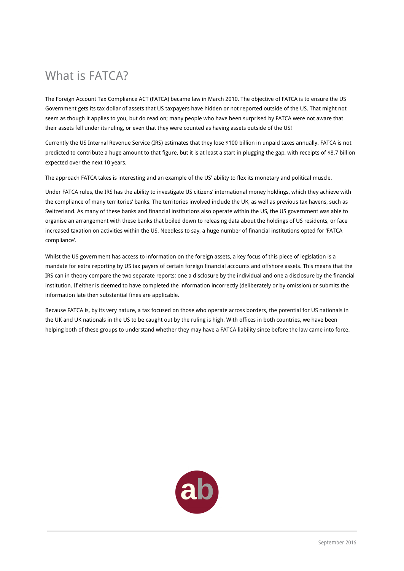### What is FATCA?

The Foreign Account Tax Compliance ACT (FATCA) became law in March 2010. The objective of FATCA is to ensure the US Government gets its tax dollar of assets that US taxpayers have hidden or not reported outside of the US. That might not seem as though it applies to you, but do read on; many people who have been surprised by FATCA were not aware that their assets fell under its ruling, or even that they were counted as having assets outside of the US!

Currently the US Internal Revenue Service (IRS) estimates that they lose \$100 billion in unpaid taxes annually. FATCA is not predicted to contribute a huge amount to that figure, but it is at least a start in plugging the gap, with receipts of \$8.7 billion expected over the next 10 years.

The approach FATCA takes is interesting and an example of the US' ability to flex its monetary and political muscle.

Under FATCA rules, the IRS has the ability to investigate US citizens' international money holdings, which they achieve with the compliance of many territories' banks. The territories involved include the UK, as well as previous tax havens, such as Switzerland. As many of these banks and financial institutions also operate within the US, the US government was able to organise an arrangement with these banks that boiled down to releasing data about the holdings of US residents, or face increased taxation on activities within the US. Needless to say, a huge number of financial institutions opted for 'FATCA compliance'.

Whilst the US government has access to information on the foreign assets, a key focus of this piece of legislation is a mandate for extra reporting by US tax payers of certain foreign financial accounts and offshore assets. This means that the IRS can in theory compare the two separate reports; one a disclosure by the individual and one a disclosure by the financial institution. If either is deemed to have completed the information incorrectly (deliberately or by omission) or submits the information late then substantial fines are applicable.

Because FATCA is, by its very nature, a tax focused on those who operate across borders, the potential for US nationals in the UK and UK nationals in the US to be caught out by the ruling is high. With offices in both countries, we have been helping both of these groups to understand whether they may have a FATCA liability since before the law came into force.

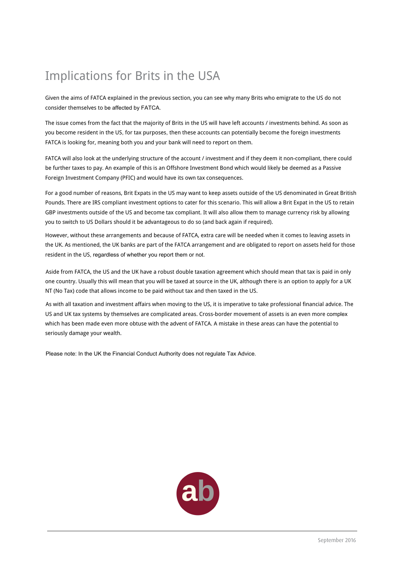### Implications for Brits in the USA

Given the aims of FATCA explained in the previous section, you can see why many Brits who emigrate to the US do not consider themselves to be affected by FATCA.

The issue comes from the fact that the majority of Brits in the US will have left accounts / investments behind. As soon as you become resident in the US, for tax purposes, then these accounts can potentially become the foreign investments FATCA is looking for, meaning both you and your bank will need to report on them.

FATCA will also look at the underlying structure of the account / investment and if they deem it non-compliant, there could be further taxes to pay. An example of this is an Offshore Investment Bond which would likely be deemed as a Passive Foreign Investment Company (PFIC) and would have its own tax consequences.

For a good number of reasons, Brit Expats in the US may want to keep assets outside of the US denominated in Great British Pounds. There are IRS compliant investment options to cater for this scenario. This will allow a Brit Expat in the US to retain GBP investments outside of the US and become tax compliant. It will also allow them to manage currency risk by allowing you to switch to US Dollars should it be advantageous to do so (and back again if required).

However, without these arrangements and because of FATCA, extra care will be needed when it comes to leaving assets in the UK. As mentioned, the UK banks are part of the FATCA arrangement and are obligated to report on assets held for those resident in the US, regardless of whether you report them or not.

Aside from FATCA, the US and the UK have a robust double taxation agreement which should mean that tax is paid in only one country. Usually this will mean that you will be taxed at source in the UK, although there is an option to apply for a UK NT (No Tax) code that allows income to be paid without tax and then taxed in the US.

As with all taxation and investment affairs when moving to the US, it is imperative to take professional financial advice. The US and UK tax systems by themselves are complicated areas. Cross-border movement of assets is an even more complex which has been made even more obtuse with the advent of FATCA. A mistake in these areas can have the potential to seriously damage your wealth.

Please note: In the UK the Financial Conduct Authority does not regulate Tax Advice.

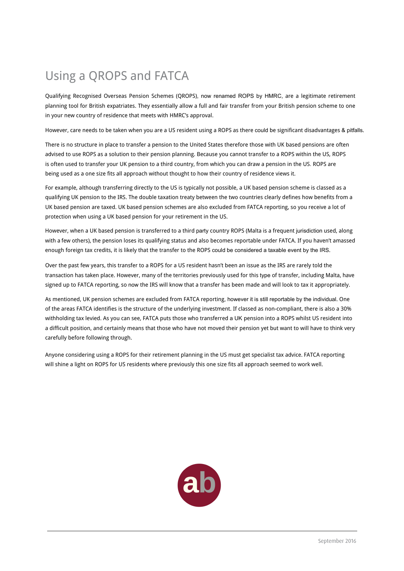## Using a QROPS and FATCA

Qualifying Recognised Overseas Pension Schemes (QROPS), now renamed ROPS by HMRC, are a legitimate retirement planning tool for British expatriates. They essentially allow a full and fair transfer from your British pension scheme to one in your new country of residence that meets with HMRC's approval.

However, care needs to be taken when you are a US resident using a ROPS as there could be significant disadvantages & pitfalls.

There is no structure in place to transfer a pension to the United States therefore those with UK based pensions are often advised to use ROPS as a solution to their pension planning. Because you cannot transfer to a ROPS within the US, ROPS is often used to transfer your UK pension to a third country, from which you can draw a pension in the US. ROPS are being used as a one size fits all approach without thought to how their country of residence views it.

For example, although transferring directly to the US is typically not possible, a UK based pension scheme is classed as a qualifying UK pension to the IRS. The double taxation treaty between the two countries clearly defines how benefits from a UK based pension are taxed. UK based pension schemes are also excluded from FATCA reporting, so you receive a lot of protection when using a UK based pension for your retirement in the US.

However, when a UK based pension is transferred to a third party country ROPS (Malta is a frequent jurisdiction used, along with a few others), the pension loses its qualifying status and also becomes reportable under FATCA. If you haven't amassed enough foreign tax credits, it is likely that the transfer to the ROPS could be considered a taxable event by the IRS.

Over the past few years, this transfer to a ROPS for a US resident hasn't been an issue as the IRS are rarely told the transaction has taken place. However, many of the territories previously used for this type of transfer, including Malta, have signed up to FATCA reporting, so now the IRS will know that a transfer has been made and will look to tax it appropriately.

As mentioned, UK pension schemes are excluded from FATCA reporting, however it is still reportable by the individual. One of the areas FATCA identifies is the structure of the underlying investment. If classed as non-compliant, there is also a 30% withholding tax levied. As you can see, FATCA puts those who transferred a UK pension into a ROPS whilst US resident into a difficult position, and certainly means that those who have not moved their pension yet but want to will have to think very carefully before following through.

Anyone considering using a ROPS for their retirement planning in the US must get specialist tax advice. FATCA reporting will shine a light on ROPS for US residents where previously this one size fits all approach seemed to work well.

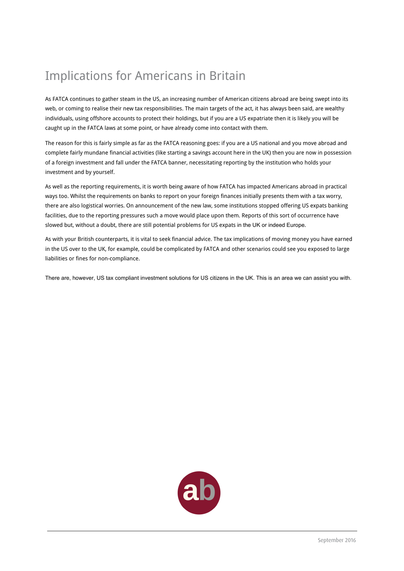## Implications for Americans in Britain

As FATCA continues to gather steam in the US, an increasing number of American citizens abroad are being swept into its web, or coming to realise their new tax responsibilities. The main targets of the act, it has always been said, are wealthy individuals, using offshore accounts to protect their holdings, but if you are a US expatriate then it is likely you will be caught up in the FATCA laws at some point, or have already come into contact with them.

The reason for this is fairly simple as far as the FATCA reasoning goes: if you are a US national and you move abroad and complete fairly mundane financial activities (like starting a savings account here in the UK) then you are now in possession of a foreign investment and fall under the FATCA banner, necessitating reporting by the institution who holds your investment and by yourself.

As well as the reporting requirements, it is worth being aware of how FATCA has impacted Americans abroad in practical ways too. Whilst the requirements on banks to report on your foreign finances initially presents them with a tax worry, there are also logistical worries. On announcement of the new law, some institutions stopped offering US expats banking facilities, due to the reporting pressures such a move would place upon them. Reports of this sort of occurrence have slowed but, without a doubt, there are still potential problems for US expats in the UK or indeed Europe.

As with your British counterparts, it is vital to seek financial advice. The tax implications of moving money you have earned in the US over to the UK, for example, could be complicated by FATCA and other scenarios could see you exposed to large liabilities or fines for non-compliance.

There are, however, US tax compliant investment solutions for US citizens in the UK. This is an area we can assist you with.

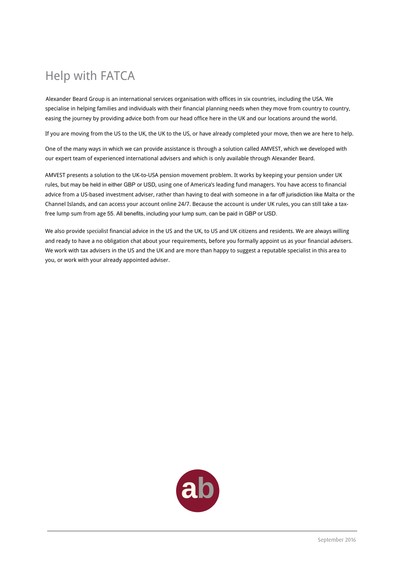## Help with FATCA

Alexander Beard Group is an international services organisation with offices in six countries, including the USA. We specialise in helping families and individuals with their financial planning needs when they move from country to country, easing the journey by providing advice both from our head office here in the UK and our locations around the world.

If you are moving from the US to the UK, the UK to the US, or have already completed your move, then we are here to help.

One of the many ways in which we can provide assistance is through a solution called AMVEST, which we developed with our expert team of experienced international advisers and which is only available through Alexander Beard.

AMVEST presents a solution to the UK-to-USA pension movement problem. It works by keeping your pension under UK rules, but may be held in either GBP or USD, using one of America's leading fund managers. You have access to financial advice from a US-based investment adviser, rather than having to deal with someone in a far off jurisdiction like Malta or the Channel Islands, and can access your account online 24/7. Because the account is under UK rules, you can still take a taxfree lump sum from age 55. All benefits, including your lump sum, can be paid in GBP or USD.

We also provide specialist financial advice in the US and the UK, to US and UK citizens and residents. We are always willing and ready to have a no obligation chat about your requirements, before you formally appoint us as your financial advisers. We work with tax advisers in the US and the UK and are more than happy to suggest a reputable specialist in this area to you, or work with your already appointed adviser.